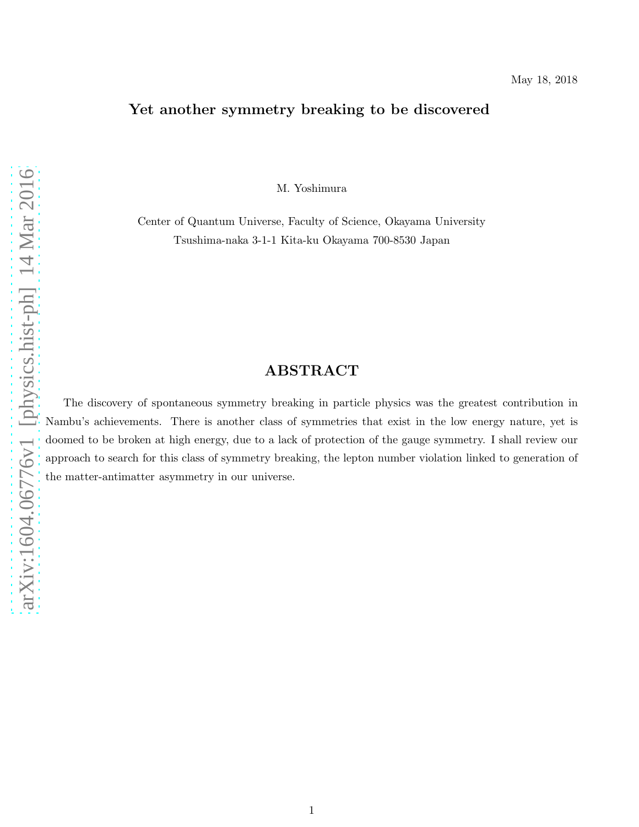## Yet another symmetry breaking to be discovered

M. Yoshimura

Center of Quantum Universe, Faculty of Science, Okayama University Tsushima-naka 3-1-1 Kita-ku Okayama 700-8530 Japan

# ABSTRACT

The discovery of spontaneous symmetry breaking in particle physics was the greatest contribution in Nambu's achievements. There is another class of symmetries that exist in the low energy nature, yet is doomed to be broken at high energy, due to a lack of protection of the gauge symmetry. I shall review our approach to search for this class of symmetry breaking, the lepton number violation linked to generation of the matter-antimatter asymmetry in our universe.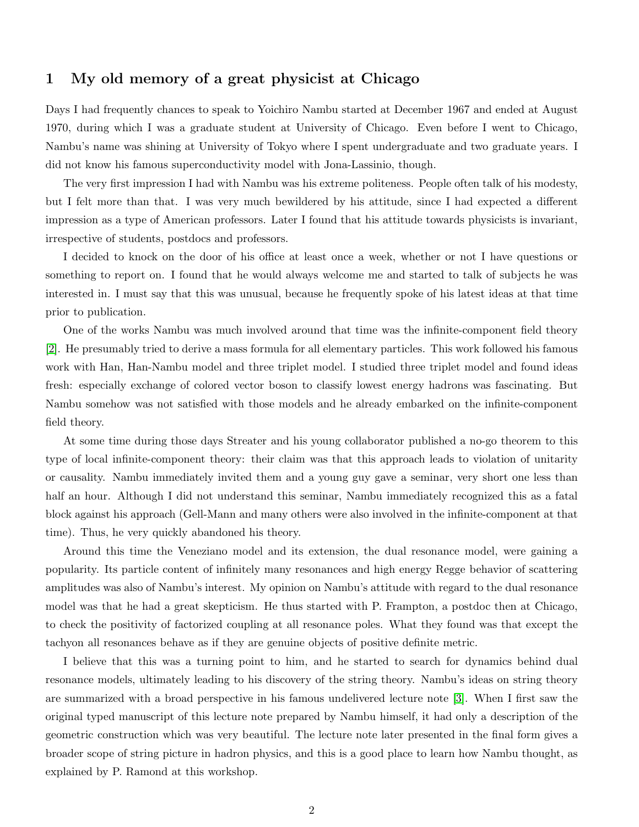## 1 My old memory of a great physicist at Chicago

Days I had frequently chances to speak to Yoichiro Nambu started at December 1967 and ended at August 1970, during which I was a graduate student at University of Chicago. Even before I went to Chicago, Nambu's name was shining at University of Tokyo where I spent undergraduate and two graduate years. I did not know his famous superconductivity model with Jona-Lassinio, though.

The very first impression I had with Nambu was his extreme politeness. People often talk of his modesty, but I felt more than that. I was very much bewildered by his attitude, since I had expected a different impression as a type of American professors. Later I found that his attitude towards physicists is invariant, irrespective of students, postdocs and professors.

I decided to knock on the door of his office at least once a week, whether or not I have questions or something to report on. I found that he would always welcome me and started to talk of subjects he was interested in. I must say that this was unusual, because he frequently spoke of his latest ideas at that time prior to publication.

One of the works Nambu was much involved around that time was the infinite-component field theory [2]. He presumably tried to derive a mass formula for all elementary particles. This work followed his famous work with Han, Han-Nambu model and three triplet model. I studied three triplet model and found ideas fresh: especially exchange of colored vector boson to classify lowest energy hadrons was fascinating. But Nambu somehow was not satisfied with those models and he already embarked on the infinite-component field theory.

At some time during those days Streater and his young collaborator published a no-go theorem to this type of local infinite-component theory: their claim was that this approach leads to violation of unitarity or causality. Nambu immediately invited them and a young guy gave a seminar, very short one less than half an hour. Although I did not understand this seminar, Nambu immediately recognized this as a fatal block against his approach (Gell-Mann and many others were also involved in the infinite-component at that time). Thus, he very quickly abandoned his theory.

Around this time the Veneziano model and its extension, the dual resonance model, were gaining a popularity. Its particle content of infinitely many resonances and high energy Regge behavior of scattering amplitudes was also of Nambu's interest. My opinion on Nambu's attitude with regard to the dual resonance model was that he had a great skepticism. He thus started with P. Frampton, a postdoc then at Chicago, to check the positivity of factorized coupling at all resonance poles. What they found was that except the tachyon all resonances behave as if they are genuine objects of positive definite metric.

I believe that this was a turning point to him, and he started to search for dynamics behind dual resonance models, ultimately leading to his discovery of the string theory. Nambu's ideas on string theory are summarized with a broad perspective in his famous undelivered lecture note [\[3\]](#page-6-0). When I first saw the original typed manuscript of this lecture note prepared by Nambu himself, it had only a description of the geometric construction which was very beautiful. The lecture note later presented in the final form gives a broader scope of string picture in hadron physics, and this is a good place to learn how Nambu thought, as explained by P. Ramond at this workshop.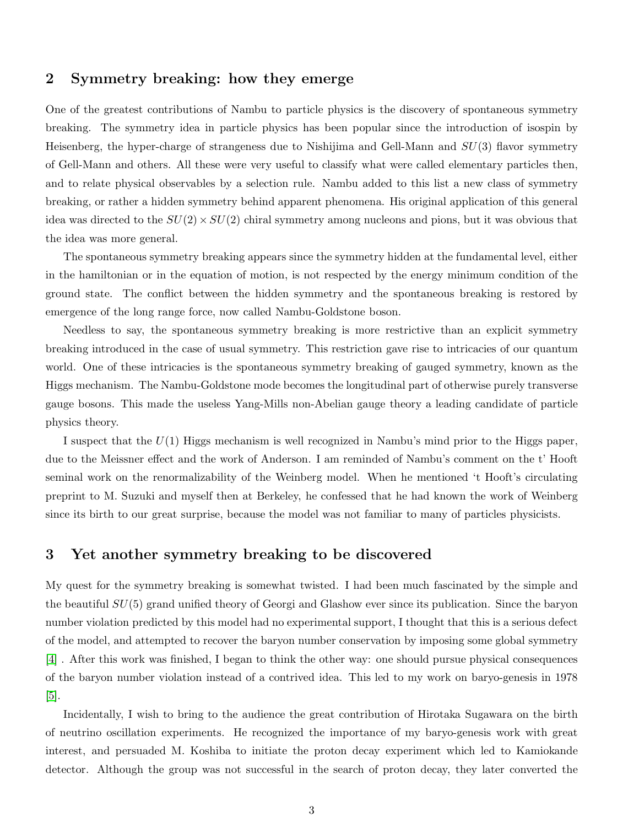#### 2 Symmetry breaking: how they emerge

One of the greatest contributions of Nambu to particle physics is the discovery of spontaneous symmetry breaking. The symmetry idea in particle physics has been popular since the introduction of isospin by Heisenberg, the hyper-charge of strangeness due to Nishijima and Gell-Mann and  $SU(3)$  flavor symmetry of Gell-Mann and others. All these were very useful to classify what were called elementary particles then, and to relate physical observables by a selection rule. Nambu added to this list a new class of symmetry breaking, or rather a hidden symmetry behind apparent phenomena. His original application of this general idea was directed to the  $SU(2) \times SU(2)$  chiral symmetry among nucleons and pions, but it was obvious that the idea was more general.

The spontaneous symmetry breaking appears since the symmetry hidden at the fundamental level, either in the hamiltonian or in the equation of motion, is not respected by the energy minimum condition of the ground state. The conflict between the hidden symmetry and the spontaneous breaking is restored by emergence of the long range force, now called Nambu-Goldstone boson.

Needless to say, the spontaneous symmetry breaking is more restrictive than an explicit symmetry breaking introduced in the case of usual symmetry. This restriction gave rise to intricacies of our quantum world. One of these intricacies is the spontaneous symmetry breaking of gauged symmetry, known as the Higgs mechanism. The Nambu-Goldstone mode becomes the longitudinal part of otherwise purely transverse gauge bosons. This made the useless Yang-Mills non-Abelian gauge theory a leading candidate of particle physics theory.

I suspect that the  $U(1)$  Higgs mechanism is well recognized in Nambu's mind prior to the Higgs paper, due to the Meissner effect and the work of Anderson. I am reminded of Nambu's comment on the t' Hooft seminal work on the renormalizability of the Weinberg model. When he mentioned 't Hooft's circulating preprint to M. Suzuki and myself then at Berkeley, he confessed that he had known the work of Weinberg since its birth to our great surprise, because the model was not familiar to many of particles physicists.

#### 3 Yet another symmetry breaking to be discovered

My quest for the symmetry breaking is somewhat twisted. I had been much fascinated by the simple and the beautiful SU(5) grand unified theory of Georgi and Glashow ever since its publication. Since the baryon number violation predicted by this model had no experimental support, I thought that this is a serious defect of the model, and attempted to recover the baryon number conservation by imposing some global symmetry [4] . After this work was finished, I began to think the other way: one should pursue physical consequences of the baryon number violation instead of a contrived idea. This led to my work on baryo-genesis in 1978 [\[5\]](#page-6-1).

Incidentally, I wish to bring to the audience the great contribution of Hirotaka Sugawara on the birth of neutrino oscillation experiments. He recognized the importance of my baryo-genesis work with great interest, and persuaded M. Koshiba to initiate the proton decay experiment which led to Kamiokande detector. Although the group was not successful in the search of proton decay, they later converted the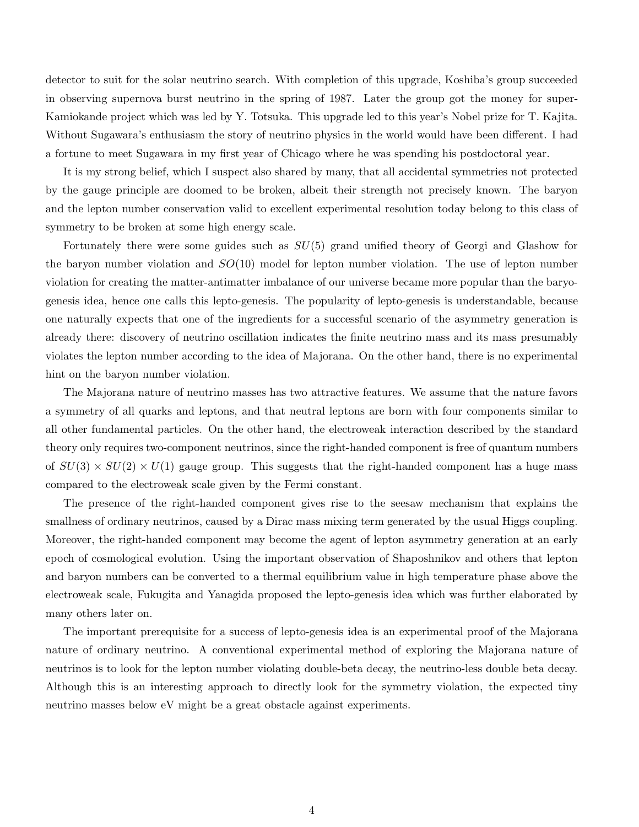detector to suit for the solar neutrino search. With completion of this upgrade, Koshiba's group succeeded in observing supernova burst neutrino in the spring of 1987. Later the group got the money for super-Kamiokande project which was led by Y. Totsuka. This upgrade led to this year's Nobel prize for T. Kajita. Without Sugawara's enthusiasm the story of neutrino physics in the world would have been different. I had a fortune to meet Sugawara in my first year of Chicago where he was spending his postdoctoral year.

It is my strong belief, which I suspect also shared by many, that all accidental symmetries not protected by the gauge principle are doomed to be broken, albeit their strength not precisely known. The baryon and the lepton number conservation valid to excellent experimental resolution today belong to this class of symmetry to be broken at some high energy scale.

Fortunately there were some guides such as  $SU(5)$  grand unified theory of Georgi and Glashow for the baryon number violation and  $SO(10)$  model for lepton number violation. The use of lepton number violation for creating the matter-antimatter imbalance of our universe became more popular than the baryogenesis idea, hence one calls this lepto-genesis. The popularity of lepto-genesis is understandable, because one naturally expects that one of the ingredients for a successful scenario of the asymmetry generation is already there: discovery of neutrino oscillation indicates the finite neutrino mass and its mass presumably violates the lepton number according to the idea of Majorana. On the other hand, there is no experimental hint on the baryon number violation.

The Majorana nature of neutrino masses has two attractive features. We assume that the nature favors a symmetry of all quarks and leptons, and that neutral leptons are born with four components similar to all other fundamental particles. On the other hand, the electroweak interaction described by the standard theory only requires two-component neutrinos, since the right-handed component is free of quantum numbers of  $SU(3) \times SU(2) \times U(1)$  gauge group. This suggests that the right-handed component has a huge mass compared to the electroweak scale given by the Fermi constant.

The presence of the right-handed component gives rise to the seesaw mechanism that explains the smallness of ordinary neutrinos, caused by a Dirac mass mixing term generated by the usual Higgs coupling. Moreover, the right-handed component may become the agent of lepton asymmetry generation at an early epoch of cosmological evolution. Using the important observation of Shaposhnikov and others that lepton and baryon numbers can be converted to a thermal equilibrium value in high temperature phase above the electroweak scale, Fukugita and Yanagida proposed the lepto-genesis idea which was further elaborated by many others later on.

The important prerequisite for a success of lepto-genesis idea is an experimental proof of the Majorana nature of ordinary neutrino. A conventional experimental method of exploring the Majorana nature of neutrinos is to look for the lepton number violating double-beta decay, the neutrino-less double beta decay. Although this is an interesting approach to directly look for the symmetry violation, the expected tiny neutrino masses below eV might be a great obstacle against experiments.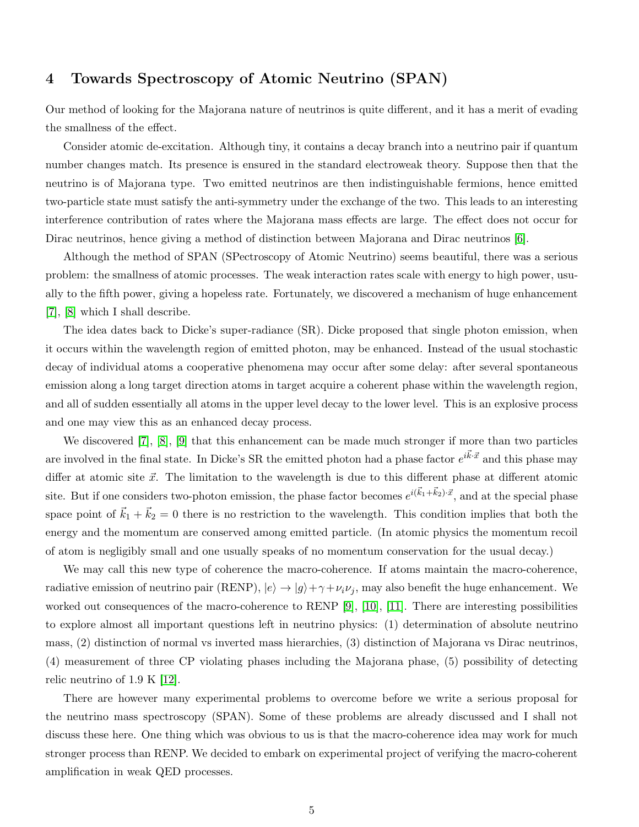## 4 Towards Spectroscopy of Atomic Neutrino (SPAN)

Our method of looking for the Majorana nature of neutrinos is quite different, and it has a merit of evading the smallness of the effect.

Consider atomic de-excitation. Although tiny, it contains a decay branch into a neutrino pair if quantum number changes match. Its presence is ensured in the standard electroweak theory. Suppose then that the neutrino is of Majorana type. Two emitted neutrinos are then indistinguishable fermions, hence emitted two-particle state must satisfy the anti-symmetry under the exchange of the two. This leads to an interesting interference contribution of rates where the Majorana mass effects are large. The effect does not occur for Dirac neutrinos, hence giving a method of distinction between Majorana and Dirac neutrinos [6].

Although the method of SPAN (SPectroscopy of Atomic Neutrino) seems beautiful, there was a serious problem: the smallness of atomic processes. The weak interaction rates scale with energy to high power, usually to the fifth power, giving a hopeless rate. Fortunately, we discovered a mechanism of huge enhancement [7], [8] which I shall describe.

The idea dates back to Dicke's super-radiance (SR). Dicke proposed that single photon emission, when it occurs within the wavelength region of emitted photon, may be enhanced. Instead of the usual stochastic decay of individual atoms a cooperative phenomena may occur after some delay: after several spontaneous emission along a long target direction atoms in target acquire a coherent phase within the wavelength region, and all of sudden essentially all atoms in the upper level decay to the lower level. This is an explosive process and one may view this as an enhanced decay process.

We discovered [7], [8], [9] that this enhancement can be made much stronger if more than two particles are involved in the final state. In Dicke's SR the emitted photon had a phase factor  $e^{i\vec{k}\cdot\vec{x}}$  and this phase may differ at atomic site  $\vec{x}$ . The limitation to the wavelength is due to this different phase at different atomic site. But if one considers two-photon emission, the phase factor becomes  $e^{i(\vec{k}_1+\vec{k}_2)\cdot\vec{x}}$ , and at the special phase space point of  $\vec{k}_1 + \vec{k}_2 = 0$  there is no restriction to the wavelength. This condition implies that both the energy and the momentum are conserved among emitted particle. (In atomic physics the momentum recoil of atom is negligibly small and one usually speaks of no momentum conservation for the usual decay.)

We may call this new type of coherence the macro-coherence. If atoms maintain the macro-coherence, radiative emission of neutrino pair (RENP),  $|e\rangle \rightarrow |g\rangle + \gamma + \nu_i \nu_j$ , may also benefit the huge enhancement. We worked out consequences of the macro-coherence to RENP [9], [\[10\]](#page-6-2), [11]. There are interesting possibilities to explore almost all important questions left in neutrino physics: (1) determination of absolute neutrino mass, (2) distinction of normal vs inverted mass hierarchies, (3) distinction of Majorana vs Dirac neutrinos, (4) measurement of three CP violating phases including the Majorana phase, (5) possibility of detecting relic neutrino of 1.9 K  $|12|$ .

There are however many experimental problems to overcome before we write a serious proposal for the neutrino mass spectroscopy (SPAN). Some of these problems are already discussed and I shall not discuss these here. One thing which was obvious to us is that the macro-coherence idea may work for much stronger process than RENP. We decided to embark on experimental project of verifying the macro-coherent amplification in weak QED processes.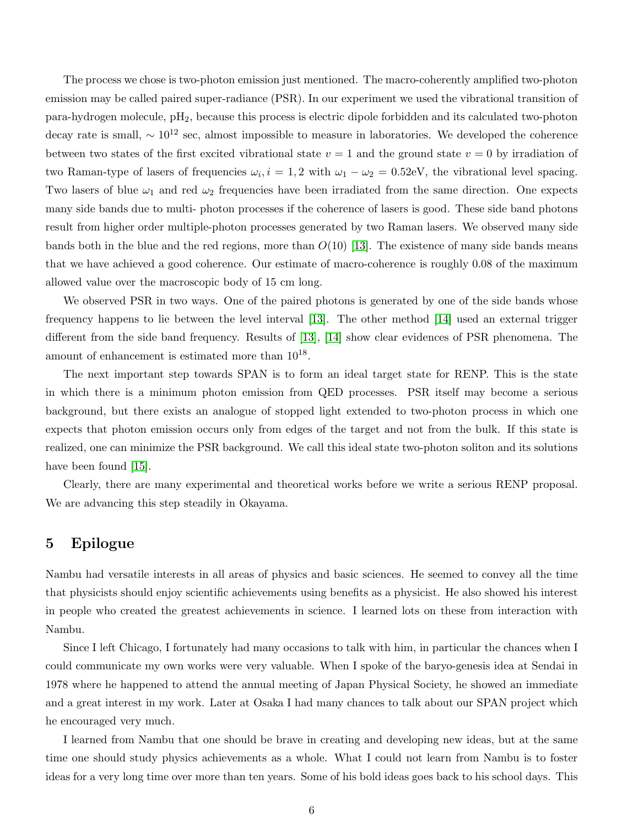The process we chose is two-photon emission just mentioned. The macro-coherently amplified two-photon emission may be called paired super-radiance (PSR). In our experiment we used the vibrational transition of para-hydrogen molecule, pH2, because this process is electric dipole forbidden and its calculated two-photon decay rate is small,  $\sim 10^{12}$  sec, almost impossible to measure in laboratories. We developed the coherence between two states of the first excited vibrational state  $v = 1$  and the ground state  $v = 0$  by irradiation of two Raman-type of lasers of frequencies  $\omega_i$ ,  $i = 1, 2$  with  $\omega_1 - \omega_2 = 0.52$ eV, the vibrational level spacing. Two lasers of blue  $\omega_1$  and red  $\omega_2$  frequencies have been irradiated from the same direction. One expects many side bands due to multi- photon processes if the coherence of lasers is good. These side band photons result from higher order multiple-photon processes generated by two Raman lasers. We observed many side bands both in the blue and the red regions, more than  $O(10)$  [13]. The existence of many side bands means that we have achieved a good coherence. Our estimate of macro-coherence is roughly 0.08 of the maximum allowed value over the macroscopic body of 15 cm long.

We observed PSR in two ways. One of the paired photons is generated by one of the side bands whose frequency happens to lie between the level interval [13]. The other method [14] used an external trigger different from the side band frequency. Results of [13], [14] show clear evidences of PSR phenomena. The amount of enhancement is estimated more than  $10^{18}$ .

The next important step towards SPAN is to form an ideal target state for RENP. This is the state in which there is a minimum photon emission from QED processes. PSR itself may become a serious background, but there exists an analogue of stopped light extended to two-photon process in which one expects that photon emission occurs only from edges of the target and not from the bulk. If this state is realized, one can minimize the PSR background. We call this ideal state two-photon soliton and its solutions have been found [15].

Clearly, there are many experimental and theoretical works before we write a serious RENP proposal. We are advancing this step steadily in Okayama.

#### 5 Epilogue

Nambu had versatile interests in all areas of physics and basic sciences. He seemed to convey all the time that physicists should enjoy scientific achievements using benefits as a physicist. He also showed his interest in people who created the greatest achievements in science. I learned lots on these from interaction with Nambu.

Since I left Chicago, I fortunately had many occasions to talk with him, in particular the chances when I could communicate my own works were very valuable. When I spoke of the baryo-genesis idea at Sendai in 1978 where he happened to attend the annual meeting of Japan Physical Society, he showed an immediate and a great interest in my work. Later at Osaka I had many chances to talk about our SPAN project which he encouraged very much.

I learned from Nambu that one should be brave in creating and developing new ideas, but at the same time one should study physics achievements as a whole. What I could not learn from Nambu is to foster ideas for a very long time over more than ten years. Some of his bold ideas goes back to his school days. This